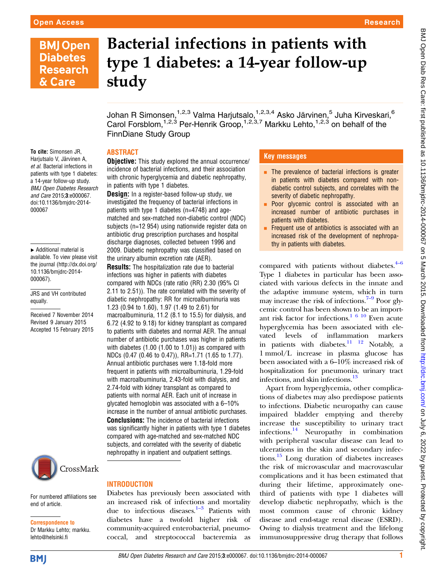# **BMJ Open Diabetes Research** & Care

To cite: Simonsen JR, Harjutsalo V, Järvinen A, et al. Bacterial infections in patients with type 1 diabetes: a 14-year follow-up study. BMJ Open Diabetes Research and Care 2015;3:e000067. doi:10.1136/bmjdrc-2014-

▸ Additional material is available. To view please visit the journal [\(http://dx.doi.org/](http://dx.doi.org/10.1136/bmjdrc-2014-000067) [10.1136/bmjdrc-2014-](http://dx.doi.org/10.1136/bmjdrc-2014-000067)

JRS and VH contributed

Received 7 November 2014 Revised 9 January 2015 Accepted 15 February 2015

000067

[000067\)](http://dx.doi.org/10.1136/bmjdrc-2014-000067).

equally.

# Bacterial infections in patients with type 1 diabetes: a 14-year follow-up study

Johan R Simonsen,<sup>1,2,3</sup> Valma Harjutsalo,<sup>1,2,3,4</sup> Asko Järvinen,<sup>5</sup> Juha Kirveskari,<sup>6</sup> Carol Forsblom,<sup>1,2,3</sup> Per-Henrik Groop,<sup>1,2,3,7</sup> Markku Lehto,<sup>1,2,3</sup> on behalf of the FinnDiane Study Group

# ABSTRACT

**Objective:** This study explored the annual occurrence/ incidence of bacterial infections, and their association with chronic hyperglycemia and diabetic nephropathy, in patients with type 1 diabetes.

**Design:** In a register-based follow-up study, we investigated the frequency of bacterial infections in patients with type 1 diabetes (n=4748) and agematched and sex-matched non-diabetic control (NDC) subjects (n=12 954) using nationwide register data on antibiotic drug prescription purchases and hospital discharge diagnoses, collected between 1996 and 2009. Diabetic nephropathy was classified based on the urinary albumin excretion rate (AER).

**Results:** The hospitalization rate due to bacterial infections was higher in patients with diabetes compared with NDCs (rate ratio (RR) 2.30 (95% CI 2.11 to 2.51)). The rate correlated with the severity of diabetic nephropathy: RR for microalbuminuria was 1.23 (0.94 to 1.60), 1.97 (1.49 to 2.61) for macroalbuminuria, 11.2 (8.1 to 15.5) for dialysis, and 6.72 (4.92 to 9.18) for kidney transplant as compared to patients with diabetes and normal AER. The annual number of antibiotic purchases was higher in patients with diabetes (1.00 (1.00 to 1.01)) as compared with NDCs (0.47 (0.46 to 0.47)), RR=1.71 (1.65 to 1.77). Annual antibiotic purchases were 1.18-fold more frequent in patients with microalbuminuria, 1.29-fold with macroalbuminuria, 2.43-fold with dialysis, and 2.74-fold with kidney transplant as compared to patients with normal AER. Each unit of increase in glycated hemoglobin was associated with a 6–10% increase in the number of annual antibiotic purchases. Conclusions: The incidence of bacterial infections was significantly higher in patients with type 1 diabetes

compared with age-matched and sex-matched NDC subjects, and correlated with the severity of diabetic nephropathy in inpatient and outpatient settings.



For numbered affiliations see end of article.

Correspondence to Dr Markku Lehto; markku. lehto@helsinki.fi

# **INTRODUCTION**

Diabetes has previously been associated with an increased risk of infections and mortality due to infectious diseases. $1-3$  Patients with diabetes have a twofold higher risk of community-acquired enterobacterial, pneumococcal, and streptococcal bacteremia as

# Key messages

- **The prevalence of bacterial infections is greater** in patients with diabetes compared with nondiabetic control subjects, and correlates with the severity of diabetic nephropathy.
- **Poor glycemic control is associated with an** increased number of antibiotic purchases in patients with diabetes.
- Frequent use of antibiotics is associated with an increased risk of the development of nephropathy in patients with diabetes.

compared with patients without diabetes. $4-6$ Type 1 diabetes in particular has been associated with various defects in the innate and the adaptive immune system, which in turn may increase the risk of infections.<sup>7–9</sup> Poor glycemic control has been shown to be an import-ant risk factor for infections.<sup>1 [6 10](#page-8-0)</sup> Even acute hyperglycemia has been associated with elevated levels of inflammation markers in patients with diabetes. $\frac{11 \times 12}{12}$  Notably, a 1 mmol/L increase in plasma glucose has been associated with a 6–10% increased risk of hospitalization for pneumonia, urinary tract infections, and skin infections.<sup>[13](#page-8-0)</sup>

Apart from hyperglycemia, other complications of diabetes may also predispose patients to infections. Diabetic neuropathy can cause impaired bladder emptying and thereby increase the susceptibility to urinary tract infections.[14](#page-8-0) Neuropathy in combination with peripheral vascular disease can lead to ulcerations in the skin and secondary infec-tions.<sup>[15](#page-8-0)</sup> Long duration of diabetes increases the risk of microvascular and macrovascular complications and it has been estimated that during their lifetime, approximately onethird of patients with type 1 diabetes will develop diabetic nephropathy, which is the most common cause of chronic kidney disease and end-stage renal disease (ESRD). Owing to dialysis treatment and the lifelong immunosuppressive drug therapy that follows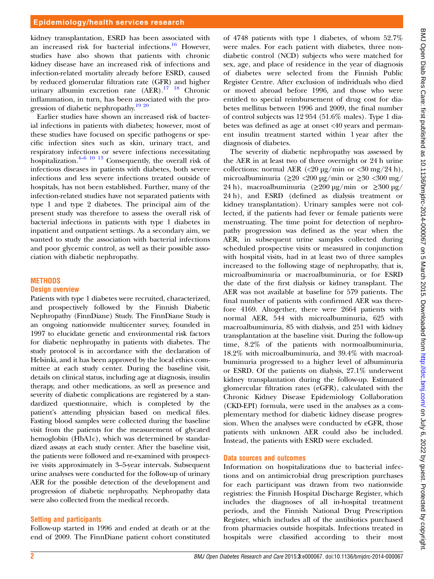kidney transplantation, ESRD has been associated with an increased risk for bacterial infections.<sup>16</sup> However, studies have also shown that patients with chronic kidney disease have an increased risk of infections and infection-related mortality already before ESRD, caused by reduced glomerular filtration rate (GFR) and higher urinary albumin excretion rate  $(AER)$ .<sup>17</sup> <sup>18</sup> Chronic inflammation, in turn, has been associated with the pro-gression of diabetic nephropathy.<sup>[19 20](#page-8-0)</sup>

Earlier studies have shown an increased risk of bacterial infections in patients with diabetes; however, most of these studies have focused on specific pathogens or specific infection sites such as skin, urinary tract, and respiratory infections or severe infections necessitating hospitalization. $4-6$  10 <sup>13</sup> Consequently, the overall risk of infectious diseases in patients with diabetes, both severe infections and less severe infections treated outside of hospitals, has not been established. Further, many of the infection-related studies have not separated patients with type 1 and type 2 diabetes. The principal aim of the present study was therefore to assess the overall risk of bacterial infections in patients with type 1 diabetes in inpatient and outpatient settings. As a secondary aim, we wanted to study the association with bacterial infections and poor glycemic control, as well as their possible association with diabetic nephropathy.

### **METHODS**

#### Design overview

Patients with type 1 diabetes were recruited, characterized, and prospectively followed by the Finnish Diabetic Nephropathy (FinnDiane) Study. The FinnDiane Study is an ongoing nationwide multicenter survey, founded in 1997 to elucidate genetic and environmental risk factors for diabetic nephropathy in patients with diabetes. The study protocol is in accordance with the declaration of Helsinki, and it has been approved by the local ethics committee at each study center. During the baseline visit, details on clinical status, including age at diagnosis, insulin therapy, and other medications, as well as presence and severity of diabetic complications are registered by a standardized questionnaire, which is completed by the patient's attending physician based on medical files. Fasting blood samples were collected during the baseline visit from the patients for the measurement of glycated hemoglobin (HbA1c), which was determined by standardized assays at each study center. After the baseline visit, the patients were followed and re-examined with prospective visits approximately in 3–5-year intervals. Subsequent urine analyses were conducted for the follow-up of urinary AER for the possible detection of the development and progression of diabetic nephropathy. Nephropathy data were also collected from the medical records.

#### Setting and participants

Follow-up started in 1996 and ended at death or at the end of 2009. The FinnDiane patient cohort constituted

of 4748 patients with type 1 diabetes, of whom 52.7% were males. For each patient with diabetes, three nondiabetic control (NCD) subjects who were matched for sex, age, and place of residence in the year of diagnosis of diabetes were selected from the Finnish Public Register Centre. After exclusion of individuals who died or moved abroad before 1996, and those who were entitled to special reimbursement of drug cost for diabetes mellitus between 1996 and 2009, the final number of control subjects was 12 954 (51.6% males). Type 1 diabetes was defined as age at onset <40 years and permanent insulin treatment started within 1 year after the diagnosis of diabetes.

The severity of diabetic nephropathy was assessed by the AER in at least two of three overnight or 24 h urine collections: normal AER  $\left( \langle 20 \rangle \text{ng/min or } \langle 30 \rangle \text{mg}/24 \text{h} \right)$ , microalbuminuria ( $\geq 20$  <200 µg/min or  $\geq 30$  <300 mg/ 24 h), macroalbuminuria  $(>200 \text{ kg/min or } >300 \text{ kg})$ 24 h), and ESRD (defined as dialysis treatment or kidney transplantation). Urinary samples were not collected, if the patients had fever or female patients were menstruating. The time point for detection of nephropathy progression was defined as the year when the AER, in subsequent urine samples collected during scheduled prospective visits or measured in conjunction with hospital visits, had in at least two of three samples increased to the following stage of nephropathy, that is, microalbuminuria or macroalbuminuria, or for ESRD the date of the first dialysis or kidney transplant. The AER was not available at baseline for 579 patients. The final number of patients with confirmed AER was therefore 4169. Altogether, there were 2664 patients with normal AER, 544 with microalbuminuria, 625 with macroalbuminuria, 85 with dialysis, and 251 with kidney transplantation at the baseline visit. During the follow-up time, 8.2% of the patients with normoalbuminuria, 18.2% with microalbuminuria, and 39.4% with macroalbuminuria progressed to a higher level of albuminuria or ESRD. Of the patients on dialysis, 27.1% underwent kidney transplantation during the follow-up. Estimated glomercular filtration rates (eGFR), calculated with the Chronic Kidney Disease Epidemiology Collaboration (CKD-EPI) formula, were used in the analyses as a complementary method for diabetic kidney disease progression. When the analyses were conducted by eGFR, those patients with unknown AER could also be included. Instead, the patients with ESRD were excluded.

### Data sources and outcomes

Information on hospitalizations due to bacterial infections and on antimicrobial drug prescription purchases for each participant was drawn from two nationwide registries: the Finnish Hospital Discharge Register, which includes the diagnoses of all in-hospital treatment periods, and the Finnish National Drug Prescription Register, which includes all of the antibiotics purchased from pharmacies outside hospitals. Infections treated in hospitals were classified according to their most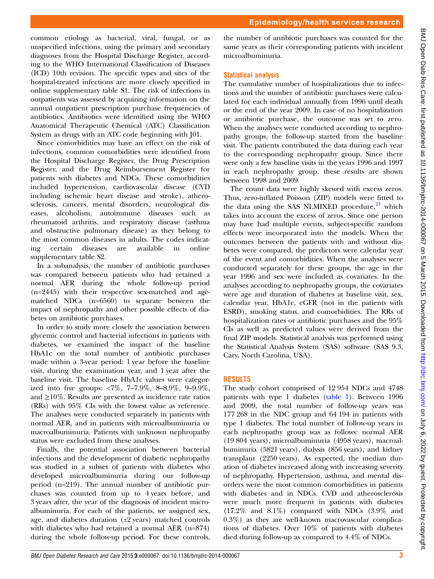common etiology as bacterial, viral, fungal, or as unspecified infections, using the primary and secondary diagnoses from the Hospital Discharge Register, according to the WHO International Classification of Diseases (ICD) 10th revision. The specific types and sites of the hospital-treated infections are more closely specified in online [supplementary table](http://drc.bmj.com/lookup/suppl/doi:10.1136/bmjdrc-2014-000067/-/DC1) S1. The risk of infections in outpatients was assessed by acquiring information on the annual outpatient prescription purchase frequencies of antibiotics. Antibiotics were identified using the WHO Anatomical Therapeutic Chemical (ATC) Classification System as drugs with an ATC code beginning with J01.

Since comorbidities may have an effect on the risk of infections, common comorbidities were identified from the Hospital Discharge Register, the Drug Prescription Register, and the Drug Reimbursement Register for patients with diabetes and NDCs. These comorbidities included hypertension, cardiovascular disease (CVD including ischemic heart disease and stroke), atherosclerosis, cancers, mental disorders, neurological diseases, alcoholism, autoimmune diseases such as rheumatoid arthritis, and respiratory disease (asthma and obstructive pulmonary disease) as they belong to the most common diseases in adults. The codes indicating certain diseases are available in online [supplementary table](http://drc.bmj.com/lookup/suppl/doi:10.1136/bmjdrc-2014-000067/-/DC1) S2.

In a subanalysis, the number of antibiotic purchases was compared between patients who had retained a normal AER during the whole follow-up period (n=2445) with their respective sex-matched and agematched NDCs (n=6560) to separate between the impact of nephropathy and other possible effects of diabetes on antibiotic purchases.

In order to study more closely the association between glycemic control and bacterial infections in patients with diabetes, we examined the impact of the baseline HbA1c on the total number of antibiotic purchases made within a 3-year period: 1 year before the baseline visit, during the examination year, and 1 year after the baseline visit. The baseline HbA1c values were categorized into five groups: <7%, 7–7.9%, 8–8.9%, 9–9.9%, and  $\geq$ 10%. Results are presented as incidence rate ratios (RRs) with 95% CIs with the lowest value as reference. The analyses were conducted separately in patients with normal AER, and in patients with microalbuminuria or macroalbuminuria. Patients with unknown nephropathy status were excluded from these analyses.

Finally, the potential association between bacterial infections and the development of diabetic nephropathy was studied in a subset of patients with diabetes who developed microalbuminuria during our follow-up period (n=219). The annual number of antibiotic purchases was counted from up to 4 years before, and 3 years after, the year of the diagnosis of incident microalbuminuria. For each of the patients, we assigned sex, age, and diabetes duration  $(\pm 2 \text{ years})$  matched controls with diabetes who had retained a normal AER (n=874) during the whole follow-up period. For these controls,

the number of antibiotic purchases was counted for the same years as their corresponding patients with incident microalbuminuria.

# Statistical analysis

The cumulative number of hospitalizations due to infections and the number of antibiotic purchases were calculated for each individual annually from 1996 until death or the end of the year 2009. In case of no hospitalization or antibiotic purchase, the outcome was set to zero. When the analyses were conducted according to nephropathy groups, the follow-up started from the baseline visit. The patients contributed the data during each year to the corresponding nephropathy group. Since there were only a few baseline visits in the years 1996 and 1997 in each nephropathy group, these results are shown between 1998 and 2009.

The count data were highly skewed with excess zeros. Thus, zero-inflated Poisson (ZIP) models were fitted to the data using the SAS NLMIXED procedure,<sup>21</sup> which takes into account the excess of zeros. Since one person may have had multiple events, subject-specific random effects were incorporated into the models. When the outcomes between the patients with and without diabetes were compared, the predictors were calendar year of the event and comorbidities. When the analyses were conducted separately for these groups, the age in the year 1996 and sex were included as covariates. In the analyses according to nephropathy groups, the covariates were age and duration of diabetes at baseline visit, sex, calendar year, HbA1c, eGFR (not in the patients with ESRD), smoking status, and comorbidities. The RRs of hospitalization rates or antibiotic purchases and the 95% CIs as well as predicted values were derived from the final ZIP models. Statistical analysis was performed using the Statistical Analysis System (SAS) software (SAS 9.3, Cary, North Carolina, USA).

# RESULTS

The study cohort comprised of 12 954 NDCs and 4748 patients with type 1 diabetes ([table 1\)](#page-3-0). Between 1996 and 2009, the total number of follow-up years was 177 268 in the NDC group and 64 194 in patients with type 1 diabetes. The total number of follow-up years in each nephropathy group was as follows: normal AER (19 804 years), microalbuminuria (4958 years), macroalbuminuria (5821 years), dialysis (856 years), and kidney transplant (2250 years). As expected, the median duration of diabetes increased along with increasing severity of nephropathy. Hypertension, asthma, and mental disorders were the most common comorbidities in patients with diabetes and in NDCs. CVD and atherosclerosis were much more frequent in patients with diabetes  $(17.2\%$  and  $8.1\%)$  compared with NDCs  $(3.9\%$  and 0.3%) as they are well-known macrovascular complications of diabetes. Over 10% of patients with diabetes died during follow-up as compared to 4.4% of NDCs.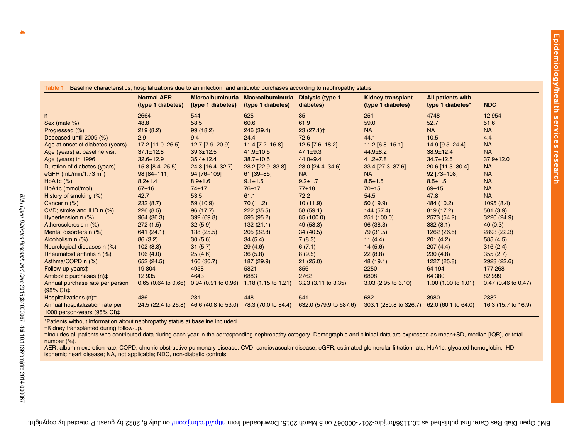#### Table 1Baseline characteristics, hospitalizations due to an infection, and antibiotic purchases according to nephropathy status

|                                                                                  | <b>Normal AER</b><br>(type 1 diabetes) | <b>Microalbuminuria</b><br>(type 1 diabetes) | <b>Macroalbuminuria</b><br>(type 1 diabetes) | Dialysis (type 1<br>diabetes) | <b>Kidney transplant</b><br>(type 1 diabetes) | All patients with<br>type 1 diabetes* | <b>NDC</b>            |
|----------------------------------------------------------------------------------|----------------------------------------|----------------------------------------------|----------------------------------------------|-------------------------------|-----------------------------------------------|---------------------------------------|-----------------------|
| n                                                                                | 2664                                   | 544                                          | 625                                          | 85                            | 251                                           | 4748                                  | 12 9 54               |
| Sex (male %)                                                                     | 48.8                                   | 58.5                                         | 60.6                                         | 61.9                          | 59.0                                          | 52.7                                  | 51.6                  |
| Progressed (%)                                                                   | 219(8.2)                               | 99 (18.2)                                    | 246 (39.4)                                   | 23(27.1)                      | <b>NA</b>                                     | <b>NA</b>                             | <b>NA</b>             |
| Deceased until 2009 (%)                                                          | 2.9                                    | 9.4                                          | 24.4                                         | 72.6                          | 44.1                                          | 10.5                                  | 4.4                   |
| Age at onset of diabetes (years)                                                 | 17.2 [11.0-26.5]                       | 12.7 [7.9-20.9]                              | 11.4 [7.2-16.8]                              | 12.5 [7.6-18.2]               | $11.2$ [6.8-15.1]                             | 14.9 [9.5-24.4]                       | <b>NA</b>             |
| Age (years) at baseline visit                                                    | $37.1 \pm 12.8$                        | $39.3 \pm 12.5$                              | $41.9 \pm 10.5$                              | $47.1 \pm 9.3$                | $44.9 \pm 8.2$                                | $38.9 \pm 12.4$                       | <b>NA</b>             |
| Age (years) in 1996                                                              | $32.6 \pm 12.9$                        | $35.4 \pm 12.4$                              | $38.7 \pm 10.5$                              | $44.0 \pm 9.4$                | $41.2 \pm 7.8$                                | $34.7 \pm 12.5$                       | $37.9 \pm 12.0$       |
| Duration of diabetes (years)                                                     | 15.8 [8.4-25.5]                        | 24.3 [16.4-32.7]                             | 28.2 [22.9-33.8]                             | 28.0 [24.4-34.6]              | 33.4 [27.3-37.6]                              | 20.6 [11.3-30.4]                      | <b>NA</b>             |
| eGFR (mL/min/1.73 m <sup>2</sup> )                                               | 98 [84-111]                            | 94 [76-109]                                  | $61$ [39-85]                                 | <b>NA</b>                     | <b>NA</b>                                     | 92 [73-108]                           | <b>NA</b>             |
| $HbA1c$ $(\%)$                                                                   | $8.2 \pm 1.4$                          | $8.9 + 1.6$                                  | $9.1 \pm 1.5$                                | $9.2 \pm 1.7$                 | $8.5 \pm 1.5$                                 | $8.5 \pm 1.5$                         | <b>NA</b>             |
| HbA1c (mmol/mol)                                                                 | $67 + 16$                              | $74 + 17$                                    | $76 + 17$                                    | $77 + 18$                     | 70±15                                         | $69 + 15$                             | <b>NA</b>             |
| History of smoking (%)                                                           | 42.7                                   | 53.5                                         | 61.1                                         | 72.2                          | 54.5                                          | 47.8                                  | <b>NA</b>             |
| Cancer n (%)                                                                     | 232(8.7)                               | 59 (10.9)                                    | 70(11.2)                                     | 10(11.9)                      | 50(19.9)                                      | 484 (10.2)                            | 1095(8.4)             |
| $CVD$ ; stroke and IHD n $(\%)$                                                  | 226(8.5)                               | 96(17.7)                                     | 222(35.5)                                    | 58(59.1)                      | 144 (57.4)                                    | 819 (17.2)                            | 501(3.9)              |
| Hypertension n (%)                                                               | 964 (36.3)                             | 392 (69.8)                                   | 595 (95.2)                                   | 85 (100.0)                    | 251 (100.0)                                   | 2573 (54.2)                           | 3220 (24.9)           |
| Atherosclerosis n (%)                                                            | 272(1.5)                               | 32(5.9)                                      | 132(21.1)                                    | 49 (58.3)                     | 96(38.3)                                      | 382(8.1)                              | 40(0.3)               |
| Mental disorders n (%)                                                           | 641(24.1)                              | 138(25.5)                                    | 205(32.8)                                    | 34(40.5)                      | 79 (31.5)                                     | 1262 (26.6)                           | 2893(22.3)            |
| Alcoholism n (%)                                                                 | 86(3.2)                                | 30(5.6)                                      | 34(5.4)                                      | 7(8.3)                        | 11 $(4.4)$                                    | 201(4.2)                              | 585(4.5)              |
| Neurological diseases n (%)                                                      | 102(3.8)                               | 31(5.7)                                      | 29(4.6)                                      | 6(7.1)                        | 14(5.6)                                       | 207(4.4)                              | 316(2.4)              |
| Rheumatoid arthritis n (%)                                                       | 106(4.0)                               | 25(4.6)                                      | 36(5.8)                                      | 8(9.5)                        | 22(8.8)                                       | 230(4.8)                              | 355(2.7)              |
| Asthma/COPD n (%)                                                                | 652(24.5)                              | 166 (30.7)                                   | 187 (29.9)                                   | 21(25.0)                      | 48 (19.1)                                     | 1227(25.8)                            | 2923 (22.6)           |
| Follow-up years‡                                                                 | 19804                                  | 4958                                         | 5821                                         | 856                           | 2250                                          | 64 194                                | 177 268               |
| Antibiotic purchases (n) ‡                                                       | 12935                                  | 4643                                         | 6883                                         | 2762                          | 6808                                          | 64 380                                | 82 999                |
| Annual purchase rate per person<br>$(95\% \text{ Cl})\ddagger$                   | $0.65$ (0.64 to 0.66)                  | $0.94$ (0.91 to 0.96)                        | 1.18 $(1.15 \text{ to } 1.21)$               | $3.23$ (3.11 to 3.35)         | $3.03$ (2.95 to $3.10$ )                      | 1.00 $(1.00 \text{ to } 1.01)$        | $0.47$ (0.46 to 0.47) |
| Hospitalizations (n)‡                                                            | 486                                    | 231                                          | 448                                          | 541                           | 682                                           | 3980                                  | 2882                  |
| Annual hospitalization rate per<br>1000 person-years $(95\% \text{ Cl})\ddagger$ |                                        | 24.5 (22.4 to 26.8) 46.6 (40.8 to 53.0)      | 78.3 (70.0 to 84.4)                          | 632.0 (579.9 to 687.6)        | 303.1 (280.8 to 326.7)                        | 62.0 (60.1 to 64.0)                   | 16.3 (15.7 to 16.9)   |

\*Patients without information about nephropathy status at baseline included.

†Kidney transplanted during follow-up.

‡Includes all patients who contributed data during each year in the corresponding nephropathy category. Demographic and clinical data are expressed as mean±SD, median [IQR], or total number (%).

AER, albumin excretion rate; COPD, chronic obstructive pulmonary disease; CVD, cardiovascular disease; eGFR, estimated glomerular filtration rate; HbA1c, glycated hemoglobin; IHD, ischemic heart disease; NA, not applicable; NDC, non-diabetic controls.

<span id="page-3-0"></span> $\rightarrow$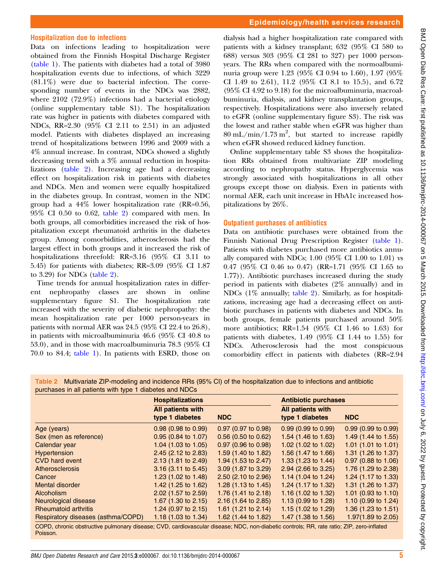## <span id="page-4-0"></span>Hospitalization due to infections

Data on infections leading to hospitalization were obtained from the Finnish Hospital Discharge Register [\(table 1\)](#page-3-0). The patients with diabetes had a total of 3980 hospitalization events due to infections, of which 3229 (81.1%) were due to bacterial infection. The corresponding number of events in the NDCs was 2882, where 2102 (72.9%) infections had a bacterial etiology (online [supplementary table](http://drc.bmj.com/lookup/suppl/doi:10.1136/bmjdrc-2014-000067/-/DC1) S1). The hospitalization rate was higher in patients with diabetes compared with NDCs, RR=2.30 (95% CI 2.11 to 2.51) in an adjusted model. Patients with diabetes displayed an increasing trend of hospitalizations between 1996 and 2009 with a 4% annual increase. In contrast, NDCs showed a slightly decreasing trend with a 3% annual reduction in hospitalizations (table 2). Increasing age had a decreasing effect on hospitalization risk in patients with diabetes and NDCs. Men and women were equally hospitalized in the diabetes group. In contrast, women in the NDC group had a 44% lower hospitalization rate (RR=0.56, 95% CI 0.50 to 0.62, table 2) compared with men. In both groups, all comorbidities increased the risk of hospitalization except rheumatoid arthritis in the diabetes group. Among comorbidities, atherosclerosis had the largest effect in both groups and it increased the risk of hospitalizations threefold: RR=3.16 (95% CI 3.11 to 5.45) for patients with diabetes; RR=3.09 (95% CI 1.87 to 3.29) for NDCs (table 2).

Time trends for annual hospitalization rates in different nephropathy classes are shown in online [supplementary](http://drc.bmj.com/lookup/suppl/doi:10.1136/bmjdrc-2014-000067/-/DC1) figure S1. The hospitalization rate increased with the severity of diabetic nephropathy: the mean hospitalization rate per 1000 person-years in patients with normal AER was 24.5 (95% CI 22.4 to 26.8), in patients with microalbuminuria 46.6 (95% CI 40.8 to 53.0), and in those with macroalbuminuria 78.3 (95% CI 70.0 to 84.4; [table 1](#page-3-0)). In patients with ESRD, those on

dialysis had a higher hospitalization rate compared with patients with a kidney transplant; 632 (95% CI 580 to 688) versus 303 (95% CI 281 to 327) per 1000 personyears. The RRs when compared with the normoalbuminuria group were 1.23 (95% CI 0.94 to 1.60), 1.97 (95% CI 1.49 to 2.61), 11.2 (95% CI 8.1 to 15.5), and 6.72 (95% CI 4.92 to 9.18) for the microalbuminuria, macroalbuminuria, dialysis, and kidney transplantation groups, respectively. Hospitalizations were also inversely related to eGFR (online supplementary figure S3). The risk was the lowest and rather stable when eGFR was higher than  $80 \text{ mL/min} / 1.73 \text{ m}^2$ , but started to increase rapidly when eGFR showed reduced kidney function.

Online supplementary table S3 shows the hospitalization RRs obtained from multivariate ZIP modeling according to nephropathy status. Hyperglycemia was strongly associated with hospitalizations in all other groups except those on dialysis. Even in patients with normal AER, each unit increase in HbA1c increased hospitalizations by 26%.

# Outpatient purchases of antibiotics

Data on antibiotic purchases were obtained from the Finnish National Drug Prescription Register [\(table 1](#page-3-0)). Patients with diabetes purchased more antibiotics annually compared with NDCs; 1.00 (95% CI 1.00 to 1.01) vs 0.47 (95% CI 0.46 to 0.47) (RR=1.71 (95% CI 1.65 to 1.77)). Antibiotic purchases increased during the study period in patients with diabetes (2% annually) and in NDCs (1% annually; table 2). Similarly, as for hospitalizations, increasing age had a decreasing effect on antibiotic purchases in patients with diabetes and NDCs. In both groups, female patients purchased around 50% more antibiotics; RR=1.54 (95% CI 1.46 to 1.63) for patients with diabetes, 1.49 (95% CI 1.44 to 1.55) for NDCs. Atherosclerosis had the most conspicuous comorbidity effect in patients with diabetes (RR=2.94

Table 2 Multivariate ZIP-modeling and incidence RRs (95% CI) of the hospitalization due to infections and antibiotic purchases in all patients with type 1 diabetes and NDCs

|                                                                                                                                                      | <b>Hospitalizations</b>              |                                | <b>Antibiotic purchases</b>          |                                |  |
|------------------------------------------------------------------------------------------------------------------------------------------------------|--------------------------------------|--------------------------------|--------------------------------------|--------------------------------|--|
|                                                                                                                                                      | All patients with<br>type 1 diabetes | <b>NDC</b>                     | All patients with<br>type 1 diabetes | <b>NDC</b>                     |  |
| Age (years)                                                                                                                                          | $0.98(0.98)$ to $0.99$ )             | $0.97$ (0.97 to 0.98)          | $0.99(0.99)$ to $0.99$ )             | $0.99(0.99)$ to $0.99$ )       |  |
| Sex (men as reference)                                                                                                                               | $0.95(0.84 \text{ to } 1.07)$        | $0.56$ (0.50 to 0.62)          | 1.54 $(1.46 \text{ to } 1.63)$       | 1.49 $(1.44 \text{ to } 1.55)$ |  |
| Calendar year                                                                                                                                        | 1.04 $(1.03 \text{ to } 1.05)$       | $0.97$ (0.96 to 0.98)          | 1.02 $(1.02 \text{ to } 1.02)$       | 1.01 $(1.01 \text{ to } 1.01)$ |  |
| Hypertension                                                                                                                                         | 2.45 (2.12 to 2.83)                  | 1.59 $(1.40 \text{ to } 1.82)$ | 1.56 $(1.47 \text{ to } 1.66)$       | 1.31 $(1.26 \text{ to } 1.37)$ |  |
| <b>CVD hard event</b>                                                                                                                                | 2.13 (1.81 to 2.49)                  | 1.94 $(1.53 \text{ to } 2.47)$ | 1.33 (1.23 to 1.44)                  | 0.97 (0.88 to 1.06)            |  |
| Atherosclerosis                                                                                                                                      | $3.16$ (3.11 to 5.45)                | 3.09 (1.87 to 3.29)            | $2.94$ (2.66 to 3.25)                | 1.76 (1.29 to 2.38)            |  |
| Cancer                                                                                                                                               | 1.23 $(1.02 \text{ to } 1.48)$       | $2.50$ (2.10 to $2.96$ )       | 1.14 $(1.04 \text{ to } 1.24)$       | 1.24 $(1.17 \text{ to } 1.33)$ |  |
| Mental disorder                                                                                                                                      | 1.42 $(1.25 \text{ to } 1.62)$       | 1.28 $(1.13 \text{ to } 1.45)$ | 1.24 $(1.17 \text{ to } 1.32)$       | 1.31 $(1.26 \text{ to } 1.37)$ |  |
| <b>Alcoholism</b>                                                                                                                                    | $2.02$ (1.57 to 2.59)                | 1.76 $(1.41 \text{ to } 2.18)$ | 1.16 $(1.02 \text{ to } 1.32)$       | 1.01 $(0.93 \text{ to } 1.10)$ |  |
| Neurological disease                                                                                                                                 | 1.67 $(1.30 \text{ to } 2.15)$       | $2.16$ (1.64 to 2.85)          | 1.13 $(0.99 \text{ to } 1.28)$       | 1.10 $(0.99 \text{ to } 1.24)$ |  |
| <b>Rheumatoid arthritis</b>                                                                                                                          | 1.24 $(0.97 \text{ to } 2.15)$       | 1.61 $(1.21 \text{ to } 2.14)$ | 1.15 $(1.02 \text{ to } 1.29)$       | 1.36 $(1.23 \text{ to } 1.51)$ |  |
| Respiratory diseases (asthma/COPD)                                                                                                                   | 1.18 (1.03 to 1.34)                  | 1.62 $(1.44 \text{ to } 1.82)$ | 1.47 (1.38 to 1.56)                  | 1.97(1.89 to 2.05)             |  |
| COPD, chronic obstructive pulmonary disease; CVD, cardiovascular disease; NDC, non-diabetic controls; RR, rate ratio; ZIP, zero-inflated<br>Poisson. |                                      |                                |                                      |                                |  |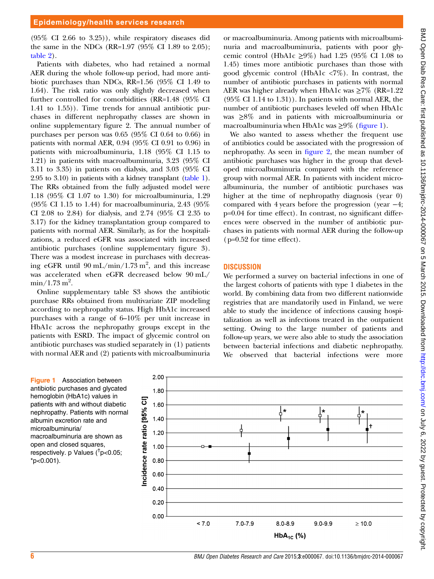(95% CI 2.66 to 3.25)), while respiratory diseases did the same in the NDCs (RR=1.97 (95% CI 1.89 to 2.05); [table 2](#page-4-0)).

Patients with diabetes, who had retained a normal AER during the whole follow-up period, had more antibiotic purchases than NDCs, RR=1.56 (95% CI 1.49 to 1.64). The risk ratio was only slightly decreased when further controlled for comorbidities (RR=1.48 (95% CI 1.41 to 1.55)). Time trends for annual antibiotic purchases in different nephropathy classes are shown in online [supplementary](http://drc.bmj.com/lookup/suppl/doi:10.1136/bmjdrc-2014-000067/-/DC1) figure 2. The annual number of purchases per person was 0.65 (95% CI 0.64 to 0.66) in patients with normal AER, 0.94 (95% CI 0.91 to 0.96) in patients with microalbuminuria, 1.18 (95% CI 1.15 to 1.21) in patients with macroalbuminuria, 3.23 (95% CI 3.11 to 3.35) in patients on dialysis, and 3.03 (95% CI 2.95 to 3.10) in patients with a kidney transplant [\(table 1\)](#page-3-0). The RRs obtained from the fully adjusted model were 1.18 (95% CI 1.07 to 1.30) for microalbuminuria, 1.29 (95% CI 1.15 to 1.44) for macroalbuminuria, 2.43 (95% CI 2.08 to 2.84) for dialysis, and 2.74 (95% CI 2.35 to 3.17) for the kidney transplantation group compared to patients with normal AER. Similarly, as for the hospitalizations, a reduced eGFR was associated with increased antibiotic purchases (online supplementary figure 3). There was a modest increase in purchases with decreasing eGFR until  $90 \text{ mL/min} / 1.73 \text{ m}^2$ , and this increase was accelerated when eGFR decreased below 90 mL/  $min/1.73$  m<sup>2</sup>.

Online supplementary table S3 shows the antibiotic purchase RRs obtained from multivariate ZIP modeling according to nephropathy status. High HbA1c increased purchases with a range of 6–10% per unit increase in HbA1c across the nephropathy groups except in the patients with ESRD. The impact of glycemic control on antibiotic purchases was studied separately in (1) patients with normal AER and (2) patients with microalbuminuria

or macroalbuminuria. Among patients with microalbuminuria and macroalbuminuria, patients with poor glycemic control (HbA1c ≥9%) had 1.25 (95% CI 1.08 to 1.45) times more antibiotic purchases than those with good glycemic control (HbA1c  $\langle 7\% \rangle$ ). In contrast, the number of antibiotic purchases in patients with normal AER was higher already when HbA1c was  $\geq 7\%$  (RR=1.22) (95% CI 1.14 to 1.31)). In patients with normal AER, the number of antibiotic purchases leveled off when HbA1c was ≥8% and in patients with microalbuminuria or macroalbuminuria when HbA1c was  $>9\%$  (figure 1).

We also wanted to assess whether the frequent use of antibiotics could be associated with the progression of nephropathy. As seen in fi[gure 2](#page-6-0), the mean number of antibiotic purchases was higher in the group that developed microalbuminuria compared with the reference group with normal AER. In patients with incident microalbuminuria, the number of antibiotic purchases was higher at the time of nephropathy diagnosis (year 0) compared with 4 years before the progression (year −4; p=0.04 for time effect). In contrast, no significant differences were observed in the number of antibiotic purchases in patients with normal AER during the follow-up (p=0.52 for time effect).

### **DISCUSSION**

We performed a survey on bacterial infections in one of the largest cohorts of patients with type 1 diabetes in the world. By combining data from two different nationwide registries that are mandatorily used in Finland, we were able to study the incidence of infections causing hospitalization as well as infections treated in the outpatient setting. Owing to the large number of patients and follow-up years, we were also able to study the association between bacterial infections and diabetic nephropathy. We observed that bacterial infections were more

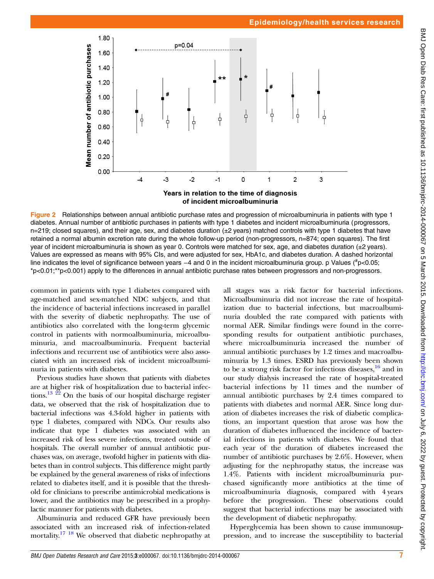<span id="page-6-0"></span>

Figure 2 Relationships between annual antibiotic purchase rates and progression of microalbuminuria in patients with type 1 diabetes. Annual number of antibiotic purchases in patients with type 1 diabetes and incident microalbuminuria (progressors, n=219; closed squares), and their age, sex, and diabetes duration (±2 years) matched controls with type 1 diabetes that have retained a normal albumin excretion rate during the whole follow-up period (non-progressors, n=874; open squares). The first year of incident microalbuminuria is shown as year 0. Controls were matched for sex, age, and diabetes duration (±2 years). Values are expressed as means with 95% CIs, and were adjusted for sex, HbA1c, and diabetes duration. A dashed horizontal line indicates the level of significance between years -4 and 0 in the incident microalbuminuria group. p Values (#p<0.05; \*p<0.01;\*\*p<0.001) apply to the differences in annual antibiotic purchase rates between progressors and non-progressors.

common in patients with type 1 diabetes compared with age-matched and sex-matched NDC subjects, and that the incidence of bacterial infections increased in parallel with the severity of diabetic nephropathy. The use of antibiotics also correlated with the long-term glycemic control in patients with normoalbuminuria, microalbuminuria, and macroalbuminuria. Frequent bacterial infections and recurrent use of antibiotics were also associated with an increased risk of incident microalbuminuria in patients with diabetes.

Previous studies have shown that patients with diabetes are at higher risk of hospitalization due to bacterial infec-tions.<sup>[13 22](#page-8-0)</sup> On the basis of our hospital discharge register data, we observed that the risk of hospitalization due to bacterial infections was 4.3-fold higher in patients with type 1 diabetes, compared with NDCs. Our results also indicate that type 1 diabetes was associated with an increased risk of less severe infections, treated outside of hospitals. The overall number of annual antibiotic purchases was, on average, twofold higher in patients with diabetes than in control subjects. This difference might partly be explained by the general awareness of risks of infections related to diabetes itself, and it is possible that the threshold for clinicians to prescribe antimicrobial medications is lower, and the antibiotics may be prescribed in a prophylactic manner for patients with diabetes.

Albuminuria and reduced GFR have previously been associated with an increased risk of infection-related mortality[.17 18](#page-8-0) We observed that diabetic nephropathy at all stages was a risk factor for bacterial infections. Microalbuminuria did not increase the rate of hospitalization due to bacterial infections, but macroalbuminuria doubled the rate compared with patients with normal AER. Similar findings were found in the corresponding results for outpatient antibiotic purchases, where microalbuminuria increased the number of annual antibiotic purchases by 1.2 times and macroalbuminuria by 1.3 times. ESRD has previously been shown to be a strong risk factor for infectious diseases,  $\frac{16}{6}$  $\frac{16}{6}$  $\frac{16}{6}$  and in our study dialysis increased the rate of hospital-treated bacterial infections by 11 times and the number of annual antibiotic purchases by 2.4 times compared to patients with diabetes and normal AER. Since long duration of diabetes increases the risk of diabetic complications, an important question that arose was how the duration of diabetes influenced the incidence of bacterial infections in patients with diabetes. We found that each year of the duration of diabetes increased the number of antibiotic purchases by 2.6%. However, when adjusting for the nephropathy status, the increase was 1.4%. Patients with incident microalbuminuria purchased significantly more antibiotics at the time of microalbuminuria diagnosis, compared with 4 years before the progression. These observations could suggest that bacterial infections may be associated with the development of diabetic nephropathy.

Hyperglycemia has been shown to cause immunosuppression, and to increase the susceptibility to bacterial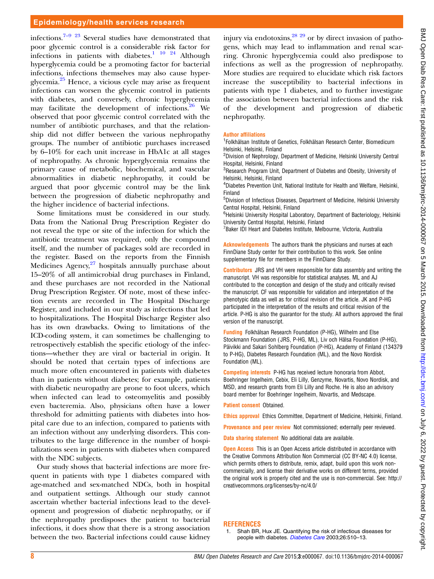<span id="page-7-0"></span>infections.<sup>7–[9 23](#page-8-0)</sup> Several studies have demonstrated that poor glycemic control is a considerable risk factor for infections in patients with diabetes.<sup>1</sup> <sup>10</sup> <sup>24</sup> Although hyperglycemia could be a promoting factor for bacterial infections, infections themselves may also cause hyperglycemia.[25](#page-8-0) Hence, a vicious cycle may arise as frequent infections can worsen the glycemic control in patients with diabetes, and conversely, chronic hyperglycemia may facilitate the development of infections. $26$  We observed that poor glycemic control correlated with the number of antibiotic purchases, and that the relationship did not differ between the various nephropathy groups. The number of antibiotic purchases increased by 6–10% for each unit increase in HbA1c at all stages of nephropathy. As chronic hyperglycemia remains the primary cause of metabolic, biochemical, and vascular abnormalities in diabetic nephropathy, it could be argued that poor glycemic control may be the link between the progression of diabetic nephropathy and the higher incidence of bacterial infections.

Some limitations must be considered in our study. Data from the National Drug Prescription Register do not reveal the type or site of the infection for which the antibiotic treatment was required, only the compound itself, and the number of packages sold are recorded in the register. Based on the reports from the Finnish Medicines Agency,<sup>27</sup> hospitals annually purchase about 15–20% of all antimicrobial drug purchases in Finland, and these purchases are not recorded in the National Drug Prescription Register. Of note, most of these infection events are recorded in The Hospital Discharge Register, and included in our study as infections that led to hospitalizations. The Hospital Discharge Register also has its own drawbacks. Owing to limitations of the ICD-coding system, it can sometimes be challenging to retrospectively establish the specific etiology of the infections—whether they are viral or bacterial in origin. It should be noted that certain types of infections are much more often encountered in patients with diabetes than in patients without diabetes; for example, patients with diabetic neuropathy are prone to foot ulcers, which when infected can lead to osteomyelitis and possibly even bacteremia. Also, physicians often have a lower threshold for admitting patients with diabetes into hospital care due to an infection, compared to patients with an infection without any underlying disorders. This contributes to the large difference in the number of hospitalizations seen in patients with diabetes when compared with the NDC subjects.

Our study shows that bacterial infections are more frequent in patients with type 1 diabetes compared with age-matched and sex-matched NDCs, both in hospital and outpatient settings. Although our study cannot ascertain whether bacterial infections lead to the development and progression of diabetic nephropathy, or if the nephropathy predisposes the patient to bacterial infections, it does show that there is a strong association between the two. Bacterial infections could cause kidney injury via endotoxins,[28 29](#page-8-0) or by direct invasion of pathogens, which may lead to inflammation and renal scarring. Chronic hyperglycemia could also predispose to infections as well as the progression of nephropathy. More studies are required to elucidate which risk factors increase the susceptibility to bacterial infections in patients with type 1 diabetes, and to further investigate the association between bacterial infections and the risk of the development and progression of diabetic nephropathy.

#### Author affiliations

1 Folkhälsan Institute of Genetics, Folkhälsan Research Center, Biomedicum Helsinki, Helsinki, Finland

<sup>2</sup> Division of Nephrology, Department of Medicine, Helsinki University Central Hospital, Helsinki, Finland

<sup>3</sup>Research Program Unit, Department of Diabetes and Obesity, University of Helsinki, Helsinki, Finland

<sup>4</sup>Diabetes Prevention Unit, National Institute for Health and Welfare, Helsinki, Finland

5 Division of Infectious Diseases, Department of Medicine, Helsinki University Central Hospital, Helsinki, Finland

<sup>6</sup>Helsinki University Hospital Laboratory, Department of Bacteriology, Helsinki University Central Hospital, Helsinki, Finland

<sup>7</sup> Baker IDI Heart and Diabetes Institute, Melbourne, Victoria, Australia

Acknowledgements The authors thank the physicians and nurses at each FinnDiane Study center for their contribution to this work. See online supplementary file for members in the FinnDiane Study.

Contributors JRS and VH were responsible for data assembly and writing the manuscript. VH was responsible for statistical analyses. ML and AJ contributed to the conception and design of the study and critically revised the manuscript. CF was responsible for validation and interpretation of the phenotypic data as well as for critical revision of the article. JK and P-HG participated in the interpretation of the results and critical revision of the article. P-HG is also the guarantor for the study. All authors approved the final version of the manuscript.

Funding Folkhälsan Research Foundation (P-HG), Wilhelm and Else Stockmann Foundation ( JRS, P-HG, ML), Liv och Hälsa Foundation (P-HG), Päivikki and Sakari Sohlberg Foundation (P-HG), Academy of Finland (134379 to P-HG), Diabetes Research Foundation (ML), and the Novo Nordisk Foundation (ML).

Competing interests P-HG has received lecture honoraria from Abbot, Boehringer Ingelheim, Cebix, Eli Lilly, Genzyme, Novartis, Novo Nordisk, and MSD, and research grants from Eli Lilly and Roche. He is also an advisory board member for Boehringer Ingelheim, Novartis, and Medscape.

Patient consent Obtained.

Ethics approval Ethics Committee, Department of Medicine, Helsinki, Finland.

Provenance and peer review Not commissioned; externally peer reviewed.

Data sharing statement No additional data are available.

**Open Access** This is an Open Access article distributed in accordance with the Creative Commons Attribution Non Commercial (CC BY-NC 4.0) license, which permits others to distribute, remix, adapt, build upon this work noncommercially, and license their derivative works on different terms, provided the original work is properly cited and the use is non-commercial. See: [http://](http://creativecommons.org/licenses/by-nc/4.0/) [creativecommons.org/licenses/by-nc/4.0/](http://creativecommons.org/licenses/by-nc/4.0/)

#### **REFERENCES**

1. Shah BR, Hux JE. Quantifying the risk of infectious diseases for people with diabetes. [Diabetes Care](http://dx.doi.org/10.2337/diacare.26.2.510) 2003;26:510-13.